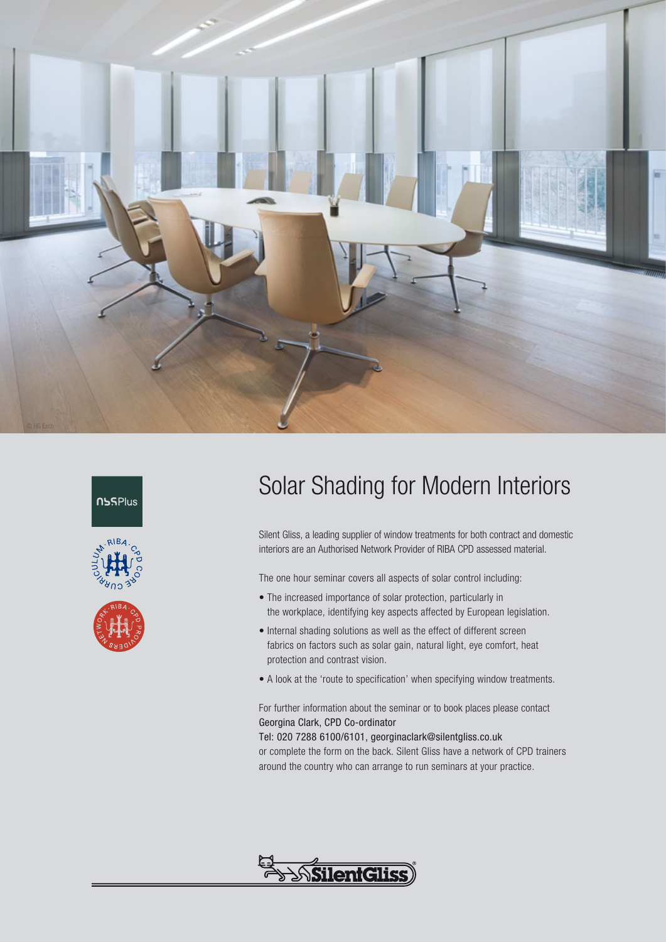







## Solar Shading for Modern Interiors

Silent Gliss, a leading supplier of window treatments for both contract and domestic interiors are an Authorised Network Provider of RIBA CPD assessed material.

The one hour seminar covers all aspects of solar control including:

- The increased importance of solar protection, particularly in the workplace, identifying key aspects affected by European legislation.
- Internal shading solutions as well as the effect of different screen fabrics on factors such as solar gain, natural light, eye comfort, heat protection and contrast vision.
- A look at the 'route to specification' when specifying window treatments.

For further information about the seminar or to book places please contact Georgina Clark, CPD Co-ordinator

Tel: 020 7288 6100/6101, georginaclark@silentgliss.co.uk or complete the form on the back. Silent Gliss have a network of CPD trainers around the country who can arrange to run seminars at your practice.